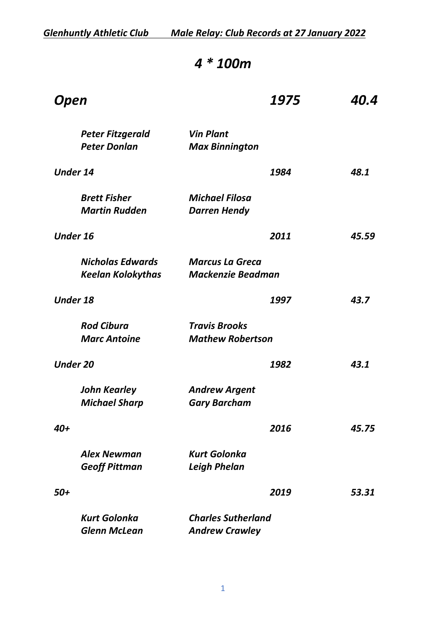*Glenhuntly Athletic Club Male Relay: Club Records at 27 January 2022*

# *4 \* 100m*

| Open                                                | 1975                                               | 40.4  |
|-----------------------------------------------------|----------------------------------------------------|-------|
| <b>Peter Fitzgerald</b><br><b>Peter Donlan</b>      | <b>Vin Plant</b><br><b>Max Binnington</b>          |       |
| <b>Under 14</b>                                     | 1984                                               | 48.1  |
| <b>Brett Fisher</b><br><b>Martin Rudden</b>         | <b>Michael Filosa</b><br><b>Darren Hendy</b>       |       |
| <b>Under 16</b>                                     | 2011                                               | 45.59 |
| <b>Nicholas Edwards</b><br><b>Keelan Kolokythas</b> | <b>Marcus La Greca</b><br><b>Mackenzie Beadman</b> |       |
| <b>Under 18</b>                                     | 1997                                               | 43.7  |
| <b>Rod Cibura</b><br><b>Marc Antoine</b>            | <b>Travis Brooks</b><br><b>Mathew Robertson</b>    |       |
| <b>Under 20</b>                                     | 1982                                               | 43.1  |
| <b>John Kearley</b><br><b>Michael Sharp</b>         | <b>Andrew Argent</b><br><b>Gary Barcham</b>        |       |
| 40+                                                 | 2016                                               | 45.75 |
| <b>Alex Newman</b><br><b>Geoff Pittman</b>          | <b>Kurt Golonka</b><br><b>Leigh Phelan</b>         |       |
| 50+                                                 | 2019                                               | 53.31 |
| <b>Kurt Golonka</b><br><b>Glenn McLean</b>          | <b>Charles Sutherland</b><br><b>Andrew Crawley</b> |       |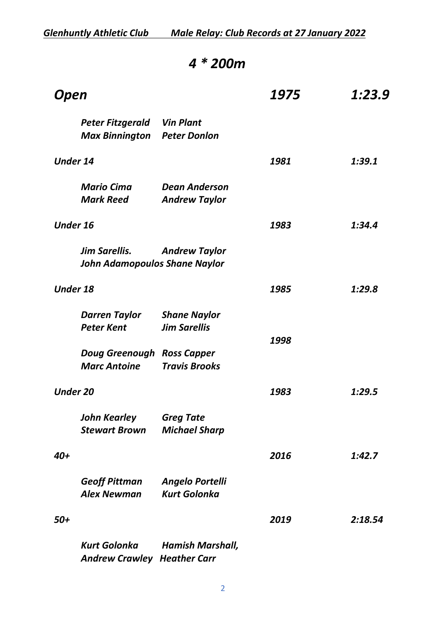#### *4 \* 200m*

| Open                                                     |                                                              | 1975 | 1:23.9  |
|----------------------------------------------------------|--------------------------------------------------------------|------|---------|
| Peter Fitzgerald<br><b>Max Binnington</b> Peter Donlon   | <b>Vin Plant</b>                                             |      |         |
| <b>Under 14</b>                                          |                                                              | 1981 | 1:39.1  |
| <b>Mario Cima</b><br><b>Mark Reed</b>                    | <b>Dean Anderson</b><br><b>Andrew Taylor</b>                 |      |         |
| <b>Under 16</b>                                          |                                                              | 1983 | 1:34.4  |
| <b>Jim Sarellis.</b>                                     | <b>Andrew Taylor</b><br><b>John Adamopoulos Shane Naylor</b> |      |         |
| <b>Under 18</b>                                          |                                                              | 1985 | 1:29.8  |
| <b>Darren Taylor</b><br><b>Peter Kent</b>                | <b>Shane Naylor</b><br><b>Jim Sarellis</b>                   |      |         |
| <b>Doug Greenough Ross Capper</b><br><b>Marc Antoine</b> | <b>Travis Brooks</b>                                         | 1998 |         |
| <b>Under 20</b>                                          |                                                              | 1983 | 1:29.5  |
| John Kearley<br><b>Stewart Brown</b>                     | <b>Greg Tate</b><br><b>Michael Sharp</b>                     |      |         |
| 40+                                                      |                                                              | 2016 | 1:42.7  |
| <b>Geoff Pittman</b><br><b>Alex Newman</b>               | <b>Angelo Portelli</b><br><b>Kurt Golonka</b>                |      |         |
| 50+                                                      |                                                              | 2019 | 2:18.54 |
| <b>Kurt Golonka</b>                                      | <b>Hamish Marshall,</b>                                      |      |         |

*Andrew Crawley Heather Carr*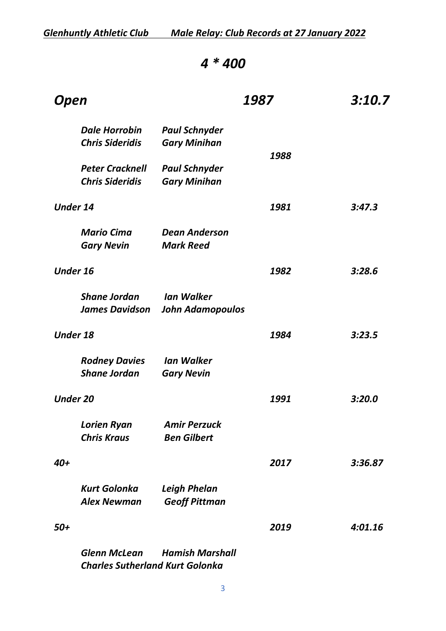### *4 \* 400*

| Open                                             |                                                                  | 1987 | 3:10.7  |
|--------------------------------------------------|------------------------------------------------------------------|------|---------|
| <b>Dale Horrobin</b>                             | <b>Paul Schnyder</b>                                             |      |         |
| <b>Chris Sideridis</b>                           | <b>Gary Minihan</b>                                              | 1988 |         |
| <b>Peter Cracknell</b><br><b>Chris Sideridis</b> | <b>Paul Schnyder</b><br><b>Gary Minihan</b>                      |      |         |
| <b>Under 14</b>                                  |                                                                  | 1981 | 3:47.3  |
| <b>Mario Cima</b><br><b>Gary Nevin</b>           | <b>Dean Anderson</b><br><b>Mark Reed</b>                         |      |         |
| <b>Under 16</b>                                  |                                                                  | 1982 | 3:28.6  |
| <b>Shane Jordan</b><br><b>James Davidson</b>     | <b>Ian Walker</b><br><b>John Adamopoulos</b>                     |      |         |
| <b>Under 18</b>                                  |                                                                  | 1984 | 3:23.5  |
| <b>Rodney Davies</b><br><b>Shane Jordan</b>      | <b>Ian Walker</b><br><b>Gary Nevin</b>                           |      |         |
| <b>Under 20</b>                                  |                                                                  | 1991 | 3:20.0  |
| <b>Lorien Ryan</b><br><b>Chris Kraus</b>         | <b>Amir Perzuck</b><br><b>Ben Gilbert</b>                        |      |         |
| 40+                                              |                                                                  | 2017 | 3:36.87 |
| <b>Kurt Golonka</b><br><b>Alex Newman</b>        | <b>Leigh Phelan</b><br><b>Geoff Pittman</b>                      |      |         |
| 50+                                              |                                                                  | 2019 | 4:01.16 |
| <b>Glenn McLean</b>                              | <b>Hamish Marshall</b><br><b>Charles Sutherland Kurt Golonka</b> |      |         |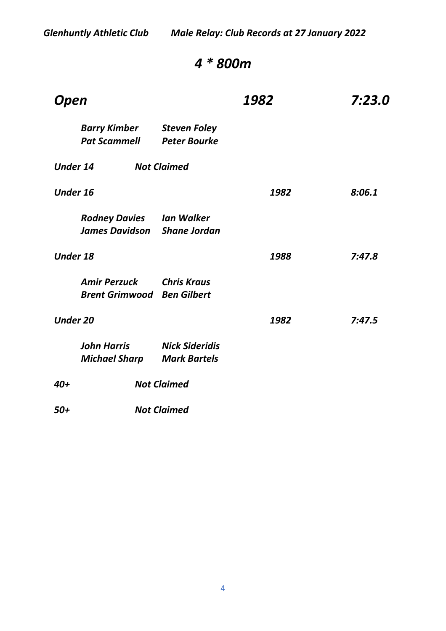### *4 \* 800m*

| Open            |                                                                       |                                              | 1982 | 7:23.0 |
|-----------------|-----------------------------------------------------------------------|----------------------------------------------|------|--------|
|                 | Barry Kimber<br><b>Pat Scammell</b>                                   | <b>Steven Foley</b><br><b>Peter Bourke</b>   |      |        |
| <b>Under 14</b> |                                                                       | <b>Not Claimed</b>                           |      |        |
| <b>Under 16</b> |                                                                       |                                              | 1982 | 8:06.1 |
|                 | <b>Rodney Davies lan Walker</b><br><b>James Davidson</b> Shane Jordan |                                              |      |        |
| <b>Under 18</b> |                                                                       |                                              | 1988 | 7:47.8 |
|                 | <b>Amir Perzuck</b><br><b>Brent Grimwood</b>                          | Chris Kraus<br><b>Ben Gilbert</b>            |      |        |
| <b>Under 20</b> |                                                                       |                                              | 1982 | 7:47.5 |
|                 | <b>John Harris</b><br><b>Michael Sharp</b>                            | <b>Nick Sideridis</b><br><b>Mark Bartels</b> |      |        |
| $40+$           |                                                                       | <b>Not Claimed</b>                           |      |        |
| $50+$           |                                                                       | <b>Not Claimed</b>                           |      |        |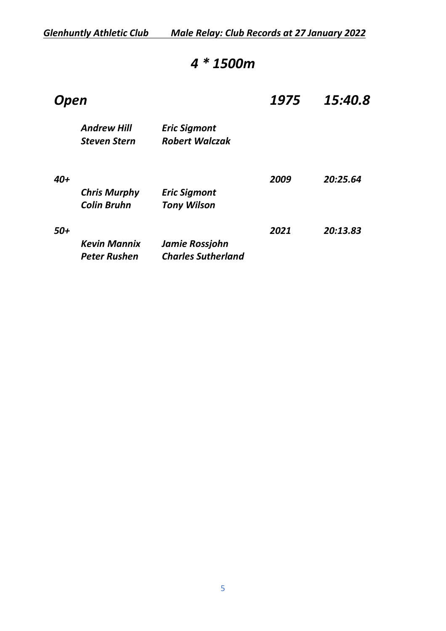*Glenhuntly Athletic Club Male Relay: Club Records at 27 January 2022*

# *4 \* 1500m*

| <b>Open</b>                               |                                              | 1975 | 15:40.8  |
|-------------------------------------------|----------------------------------------------|------|----------|
| <b>Andrew Hill</b><br><b>Steven Stern</b> | <b>Eric Sigmont</b><br><b>Robert Walczak</b> |      |          |
|                                           |                                              | 2009 | 20:25.64 |
| <b>Chris Murphy</b>                       | <b>Eric Sigmont</b>                          |      |          |
| <b>Colin Bruhn</b>                        | <b>Tony Wilson</b>                           |      |          |
|                                           |                                              | 2021 | 20:13.83 |
| <b>Kevin Mannix</b>                       | Jamie Rossjohn                               |      |          |
| <b>Peter Rushen</b>                       | <b>Charles Sutherland</b>                    |      |          |
|                                           |                                              |      |          |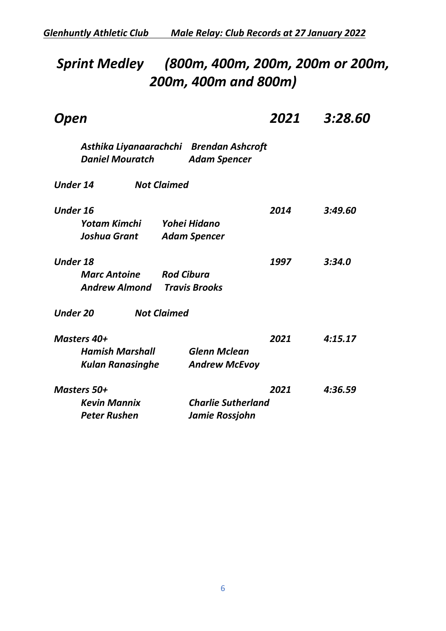# *Sprint Medley (800m, 400m, 200m, 200m or 200m, 200m, 400m and 800m)*

| Open                                                                                                            | 2021 | 3:28.60 |
|-----------------------------------------------------------------------------------------------------------------|------|---------|
| Asthika Liyanaarachchi Brendan Ashcroft<br><b>Daniel Mouratch</b><br><b>Adam Spencer</b>                        |      |         |
| <b>Under 14</b><br><b>Not Claimed</b>                                                                           |      |         |
| <b>Under 16</b><br>Yohei Hidano<br>Yotam Kimchi<br><b>Joshua Grant</b><br><b>Adam Spencer</b>                   | 2014 | 3:49.60 |
| <b>Under 18</b><br><b>Rod Cibura</b><br><b>Marc Antoine</b><br>Andrew Almond<br><b>Travis Brooks</b>            | 1997 | 3:34.0  |
| <b>Under 20</b><br><b>Not Claimed</b>                                                                           |      |         |
| Masters 40+<br><b>Hamish Marshall</b><br><b>Glenn Mclean</b><br><b>Kulan Ranasinghe</b><br><b>Andrew McEvoy</b> | 2021 | 4:15.17 |
| <b>Masters 50+</b><br><b>Kevin Mannix</b><br><b>Charlie Sutherland</b><br><b>Peter Rushen</b><br>Jamie Rossjohn | 2021 | 4:36.59 |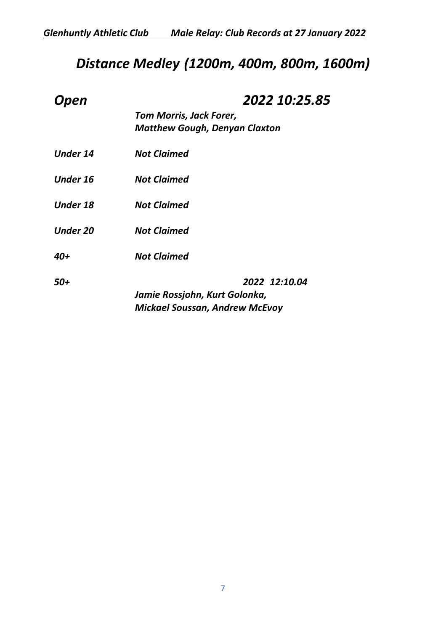# *Distance Medley (1200m, 400m, 800m, 1600m)*

| <b>Open</b>     | 2022 10:25.85                         |
|-----------------|---------------------------------------|
|                 | <b>Tom Morris, Jack Forer,</b>        |
|                 | <b>Matthew Gough, Denyan Claxton</b>  |
| <b>Under 14</b> | <b>Not Claimed</b>                    |
| <b>Under 16</b> | <b>Not Claimed</b>                    |
| <b>Under 18</b> | <b>Not Claimed</b>                    |
| <b>Under 20</b> | <b>Not Claimed</b>                    |
| 40+             | <b>Not Claimed</b>                    |
| 50+             | 2022 12:10.04                         |
|                 | Jamie Rossjohn, Kurt Golonka,         |
|                 | <b>Mickael Soussan, Andrew McEvoy</b> |